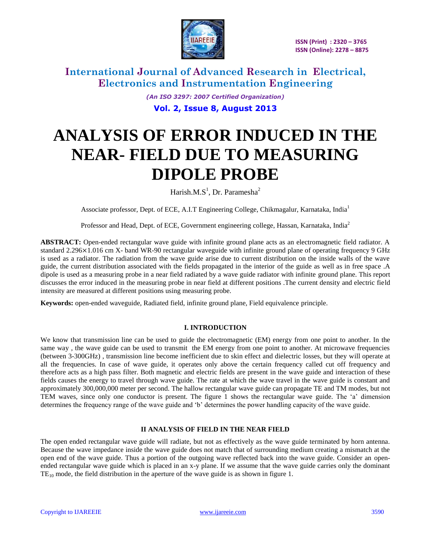

> *(An ISO 3297: 2007 Certified Organization)* **Vol. 2, Issue 8, August 2013**

# **ANALYSIS OF ERROR INDUCED IN THE NEAR- FIELD DUE TO MEASURING DIPOLE PROBE**

Harish.M. $S^1$ , Dr. Paramesha<sup>2</sup>

Associate professor, Dept. of ECE, A.I.T Engineering College, Chikmagalur, Karnataka, India<sup>1</sup>

Professor and Head, Dept. of ECE, Government engineering college, Hassan, Karnataka, India<sup>2</sup>

**ABSTRACT:** Open-ended rectangular wave guide with infinite ground plane acts as an electromagnetic field radiator. A standard 2.296×1.016 cm X- band WR-90 rectangular waveguide with infinite ground plane of operating frequency 9 GHz is used as a radiator. The radiation from the wave guide arise due to current distribution on the inside walls of the wave guide, the current distribution associated with the fields propagated in the interior of the guide as well as in free space .A dipole is used as a measuring probe in a near field radiated by a wave guide radiator with infinite ground plane. This report discusses the error induced in the measuring probe in near field at different positions .The current density and electric field intensity are measured at different positions using measuring probe.

**Keywords:** open-ended waveguide, Radiated field, infinite ground plane, Field equivalence principle.

### **I. INTRODUCTION**

We know that transmission line can be used to guide the electromagnetic (EM) energy from one point to another. In the same way, the wave guide can be used to transmit the EM energy from one point to another. At microwave frequencies (between 3-300GHz) , transmission line become inefficient due to skin effect and dielectric losses, but they will operate at all the frequencies. In case of wave guide, it operates only above the certain frequency called cut off frequency and therefore acts as a high pass filter. Both magnetic and electric fields are present in the wave guide and interaction of these fields causes the energy to travel through wave guide. The rate at which the wave travel in the wave guide is constant and approximately 300,000,000 meter per second. The hallow rectangular wave guide can propagate TE and TM modes, but not TEM waves, since only one conductor is present. The figure 1 shows the rectangular wave guide. The "a" dimension determines the frequency range of the wave guide and "b" determines the power handling capacity of the wave guide.

## **II ANALYSIS OF FIELD IN THE NEAR FIELD**

The open ended rectangular wave guide will radiate, but not as effectively as the wave guide terminated by horn antenna. Because the wave impedance inside the wave guide does not match that of surrounding medium creating a mismatch at the open end of the wave guide. Thus a portion of the outgoing wave reflected back into the wave guide. Consider an openended rectangular wave guide which is placed in an x-y plane. If we assume that the wave guide carries only the dominant  $TE_{10}$  mode, the field distribution in the aperture of the wave guide is as shown in figure 1.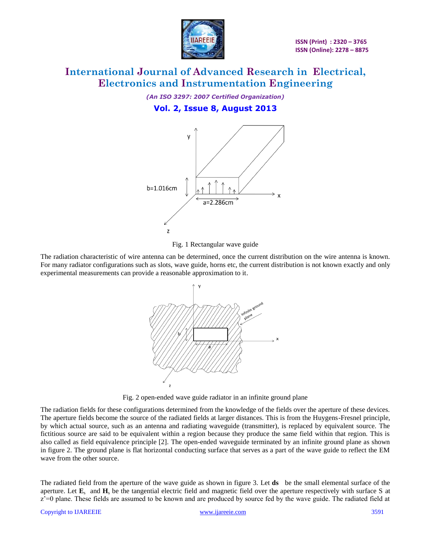

*(An ISO 3297: 2007 Certified Organization)* **Vol. 2, Issue 8, August 2013**





The radiation characteristic of wire antenna can be determined, once the current distribution on the wire antenna is known. For many radiator configurations such as slots, wave guide, horns etc, the current distribution is not known exactly and only experimental measurements can provide a reasonable approximation to it.



Fig. 2 open-ended wave guide radiator in an infinite ground plane

The radiation fields for these configurations determined from the knowledge of the fields over the aperture of these devices. The aperture fields become the source of the radiated fields at larger distances. This is from the Huygens-Fresnel principle, by which actual source, such as an antenna and radiating waveguide (transmitter), is replaced by equivalent source. The fictitious source are said to be equivalent within a region because they produce the same field within that region. This is also called as field equivalence principle [2]. The open-ended waveguide terminated by an infinite ground plane as shown in figure 2. The ground plane is flat horizontal conducting surface that serves as a part of the wave guide to reflect the EM wave from the other source.

The radiated field from the aperture of the wave guide as shown in figure 3. Let **ds** be the small elemental surface of the aperture. Let  $\mathbf{E}_s$  and  $\mathbf{H}_s$  be the tangential electric field and magnetic field over the aperture respectively with surface S at z"=0 plane. These fields are assumed to be known and are produced by source fed by the wave guide. The radiated field at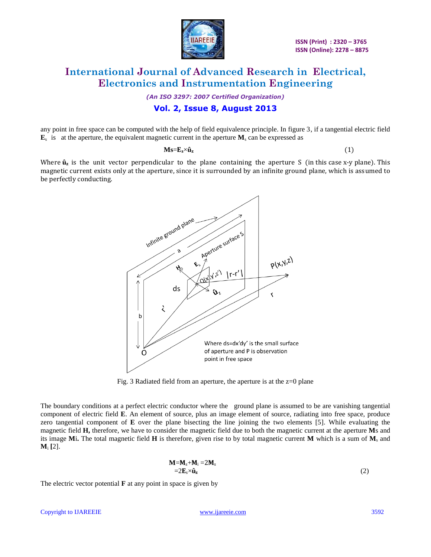

*(An ISO 3297: 2007 Certified Organization)*

## **Vol. 2, Issue 8, August 2013**

any point in free space can be computed with the help of field equivalence principle. In figure 3, if a tangential electric field  $\mathbf{E}_s$  is at the aperture, the equivalent magnetic current in the aperture  $\mathbf{M}_s$  can be expressed as

 $Ms=E_s\times\hat{u}_z$  (1)

Where  $\hat{\mathbf{u}}_z$  is the unit vector perpendicular to the plane containing the aperture S (in this case x-y plane). This magnetic current exists only at the aperture, since it is surrounded by an infinite ground plane, which is assumed to be perfectly conducting.



Fig. 3 Radiated field from an aperture, the aperture is at the  $z=0$  plane

The boundary conditions at a perfect electric conductor where the ground plane is assumed to be are vanishing tangential component of electric field **E**. An element of source, plus an image element of source, radiating into free space, produce zero tangential component of **E** over the plane bisecting the line joining the two elements [5]. While evaluating the magnetic field **H,** therefore, we have to consider the magnetic field due to both the magnetic current at the aperture **M**s and its image **M**i**.** The total magnetic field **H** is therefore, given rise to by total magnetic current **M** which is a sum of **M**<sup>s</sup> and **M**<sup>i</sup> **[**2].

$$
M=M_s+M_i=2M_s
$$
  
=2E<sub>s</sub>× $\hat{u}_z$  (2)

The electric vector potential **F** at any point in space is given by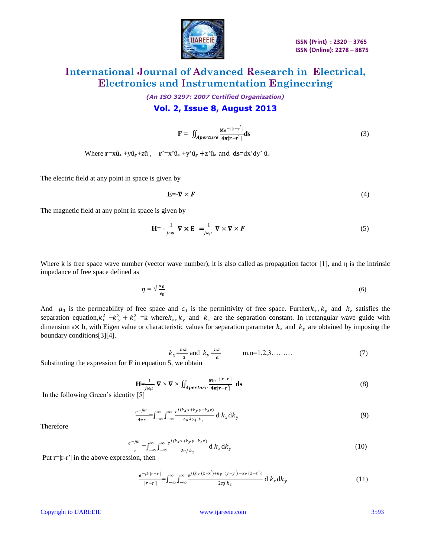

*(An ISO 3297: 2007 Certified Organization)* **Vol. 2, Issue 8, August 2013**

$$
\mathbf{F} = \iint_{\text{Aperture}} \frac{\mathbf{M} e^{-j|\mathbf{r} - \mathbf{r}'|}}{4\pi |\mathbf{r} - \mathbf{r}'|} \mathbf{ds}
$$
(3)

Where  $\mathbf{r} = x\hat{\mathbf{u}}_x + y\hat{\mathbf{u}}_y + z\hat{\mathbf{u}}_x$ ,  $\mathbf{r}' = x'\hat{\mathbf{u}}_x + y'\hat{\mathbf{u}}_y + z'\hat{\mathbf{u}}_z$  and  $\mathbf{ds} = dx'\mathbf{dy}'\hat{\mathbf{u}}_z$ 

The electric field at any point in space is given by

$$
\mathbf{E} = -\nabla \times \mathbf{F} \tag{4}
$$

The magnetic field at any point in space is given by

$$
\mathbf{H} = -\frac{1}{j\omega\mu} \nabla \times \mathbf{E} = \frac{1}{j\omega\mu} \nabla \times \nabla \times \mathbf{F}
$$
 (5)

Where k is free space wave number (vector wave number), it is also called as propagation factor [1], and  $\eta$  is the intrinsic impedance of free space defined as

$$
\eta = \sqrt{\frac{\mu_0}{\epsilon_0}}\tag{6}
$$

And  $\mu_0$  is the permeability of free space and  $\epsilon_0$  is the permittivity of free space. Furtherk<sub>x</sub>, k<sub>y</sub> and k<sub>z</sub> satisfies the separation equation, $k_x^2 + k_y^2 + k_z^2 = k$  where $k_x, k_y$  and  $k_z$  are the separation constant. In rectangular wave guide with dimension a× b, with Eigen value or characteristic values for separation parameter  $k_x$  and  $k_y$  are obtained by imposing the boundary conditions[3][4].

$$
k_x = \frac{m\pi}{a}
$$
 and  $k_y = \frac{n\pi}{a}$  m,n=1,2,3........ (7)

Substituting the expression for **F** in equation 5, we obtain

$$
\mathbf{H} = \frac{1}{j\omega\mu} \nabla \times \nabla \times \iint_{\text{Aperture}} \frac{\mathbf{M} \mathbf{e}^{-j|\mathbf{r} - \mathbf{r}'|}}{4\pi |\mathbf{r} - \mathbf{r}'|} \text{ d} \mathbf{s}
$$
(8)

In the following Green's identity [5]

$$
\frac{e^{-jkr}}{4\pi r} = \int_{-\infty}^{\infty} \int_{-\infty}^{\infty} \frac{e^{j(k_x x + k_y y - k_z z)}}{4\pi^2 2j \ k_z} d k_x dk_y \tag{9}
$$

Therefore

$$
\frac{e^{-jkr}}{r} = \int_{-\infty}^{\infty} \int_{-\infty}^{\infty} \frac{e^{j(k_x x + k_y y - k_z z)}}{2\pi j k_z} d k_x dk_y
$$
 (10)

Put  $r=|r-r'|$  in the above expression, then

$$
\frac{e^{-jk|r-r'|}}{|r-r'|} = \int_{-\infty}^{\infty} \int_{-\infty}^{\infty} \frac{e^{j(k_x(x-x')+ky(y-y')-k_z(z-z'))}}{2\pi j k_z} \, \mathrm{d}k_x \, \mathrm{d}k_y \tag{11}
$$

Copyright to IJAREEIE [www.ijareeie.com](http://www.ijareeie.com/) 3593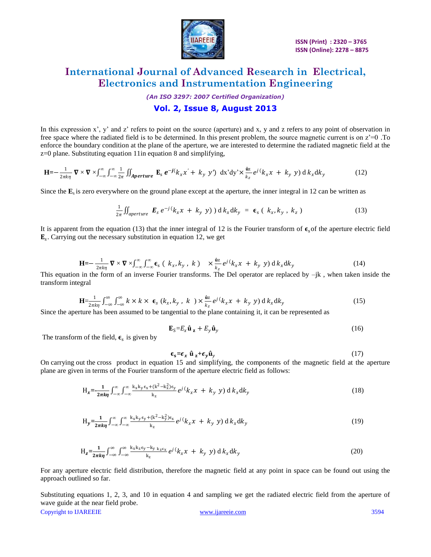

*(An ISO 3297: 2007 Certified Organization)*

## **Vol. 2, Issue 8, August 2013**

In this expression x', y' and z' refers to point on the source (aperture) and x, y and z refers to any point of observation in free space where the radiated field is to be determined. In this present problem, the source magnetic current is on  $z=0$ . To enforce the boundary condition at the plane of the aperture, we are interested to determine the radiated magnetic field at the z=0 plane. Substituting equation 11in equation 8 and simplifying,

$$
\mathbf{H} = -\frac{1}{2\pi k\eta} \mathbf{\nabla} \times \mathbf{\nabla} \times \int_{-\infty}^{\infty} \int_{-\infty}^{\infty} \frac{1}{2\pi} \iint_{\text{Aperture}} \mathbf{E}_{\text{s}} e^{-j(k_x x' + k_y y')} \, \text{d}x' \text{d}y' \times \frac{\hat{\mathbf{u}}_z}{k_z} e^{j(k_x x + k_y y)} \, \text{d}k_x \text{d}k_y \tag{12}
$$

Since the  $\mathbf{E}_s$  is zero everywhere on the ground plane except at the aperture, the inner integral in 12 can be written as

$$
\frac{1}{2\pi} \iint_{aperture} \boldsymbol{E}_s e^{-j(k_x x + k_y y)} d k_x dk_y = \boldsymbol{\epsilon}_s (k_x, k_y, k_z)
$$
 (13)

It is apparent from the equation (13) that the inner integral of 12 is the Fourier transform of  $\epsilon_{\rm s}$  of the aperture electric field  $\mathbf{E}_s$ . Carrying out the necessary substitution in equation 12, we get

$$
\mathbf{H} = -\frac{1}{2\pi k\eta} \, \mathbf{\nabla} \times \mathbf{\nabla} \times \int_{-\infty}^{\infty} \int_{-\infty}^{\infty} \boldsymbol{\epsilon}_s \, (k_x, k_y, k) \quad \times \frac{\hat{\mathbf{u}}_z}{k_z} e^{j(k_x x + k_y y)} \, d k_x dk_y \tag{14}
$$

This equation in the form of an inverse Fourier transforms. The Del operator are replaced by  $-jk$ , when taken inside the transform integral

$$
\mathbf{H} = \frac{1}{2\pi k \eta} \int_{-\infty}^{\infty} \int_{-\infty}^{\infty} k \times k \times \epsilon_{s} \ (k_{x}, k_{y}, k \ ) \times \frac{\hat{\mathfrak{a}}_{z}}{k_{z}} e^{j} (k_{x} x + k_{y} y) \, \mathrm{d} \ k_{x} \, \mathrm{d} k_{y} \tag{15}
$$

Since the aperture has been assumed to be tangential to the plane containing it, it can be represented as

$$
\mathbf{E}_{\mathcal{S}} = E_x \hat{\mathbf{u}}_z + E_y \hat{\mathbf{u}}_y \tag{16}
$$

The transform of the field,  $\epsilon_s$  is given by

$$
\epsilon_{\rm s} = \epsilon_x \hat{\mathbf{u}}_z + \epsilon_y \hat{\mathbf{u}}_y \tag{17}
$$

On carrying out the cross product in equation 15 and simplifying, the components of the magnetic field at the aperture plane are given in terms of the Fourier transform of the aperture electric field as follows:

$$
H_x = \frac{1}{2\pi k\eta} \int_{-\infty}^{\infty} \int_{-\infty}^{\infty} \frac{k_x k_y \epsilon_x + (k^2 - k_x^2) \epsilon_y}{k_z} e^{j(k_x x + k_y y)} dk_x dk_y
$$
\n(18)

$$
H_y = \frac{1}{2\pi k\eta} \int_{-\infty}^{\infty} \int_{-\infty}^{\infty} \frac{k_x k_y \epsilon_y + (k^2 - k_y^2) \epsilon_x}{k_z} e^{j(k_x x + k_y y)} d k_x dk_y
$$
(19)

$$
H_z = \frac{1}{2\pi k\eta} \int_{-\infty}^{\infty} \int_{-\infty}^{\infty} \frac{k_x k_z \epsilon_y - k_y k_z \epsilon_x}{k_z} e^{j(k_x x + k_y y)} dk_x dk_y
$$
 (20)

For any aperture electric field distribution, therefore the magnetic field at any point in space can be found out using the approach outlined so far.

Copyright to IJAREEIE [www.ijareeie.com](http://www.ijareeie.com/) 3594 Substituting equations 1, 2, 3, and 10 in equation 4 and sampling we get the radiated electric field from the aperture of wave guide at the near field probe.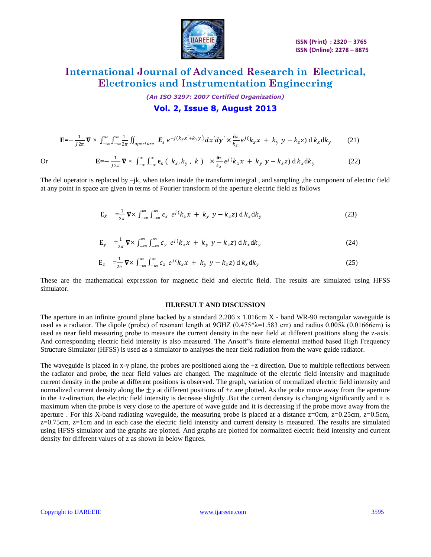

*(An ISO 3297: 2007 Certified Organization)*

## **Vol. 2, Issue 8, August 2013**

$$
\mathbf{E} = -\frac{1}{j2\pi} \mathbf{\nabla} \times \int_{-\infty}^{\infty} \int_{-\infty}^{\infty} \frac{1}{2\pi} \iint_{aperture} \mathbf{E}_s e^{-j(k_x x' + k_y y')} dx' dy' \times \frac{\hat{\mathbf{a}}_z}{k_z} e^{j(k_x x + k_y y - k_z z)} d k_x dk_y
$$
 (21)

Or 
$$
\mathbf{E} = -\frac{1}{J2\pi} \mathbf{\nabla} \times \int_{-\infty}^{\infty} \int_{-\infty}^{\infty} \epsilon_s (k_x, k_y, k) \times \frac{\hat{\mathbf{u}}_z}{k_z} e^{j(k_x + k_y + k_z - k_z)} d k_x dk_y
$$
 (22)

The del operator is replaced by  $-i\mathbf{k}$ , when taken inside the transform integral, and sampling , the component of electric field at any point in space are given in terms of Fourier transform of the aperture electric field as follows

$$
E_X = \frac{1}{2\pi} \nabla \times \int_{-\infty}^{\infty} \int_{-\infty}^{\infty} \epsilon_x e^{j(k_x x + k_y y - k_z z)} d k_x dk_y
$$
 (23)

$$
E_y = \frac{1}{2\pi} \nabla \times \int_{-\infty}^{\infty} \int_{-\infty}^{\infty} \epsilon_y e^{j(k_x x + k_y y - k_z z)} d k_x dk_y
$$
 (24)

$$
E_z = \frac{1}{2\pi} \nabla \times \int_{-\infty}^{\infty} \int_{-\infty}^{\infty} \epsilon_z e^{j(k_x x + k_y y - k_z z)} d k_x dk_y
$$
 (25)

These are the mathematical expression for magnetic field and electric field. The results are simulated using HFSS simulator.

#### **ІІІ.RESULT AND DISCUSSION**

The aperture in an infinite ground plane backed by a standard 2.286 x 1.016cm X - band WR-90 rectangular waveguide is used as a radiator. The dipole (probe) of resonant length at  $9\text{GHZ}$  (0.475\* $\lambda$ =1.583 cm) and radius 0.005 $\lambda$  (0.01666cm) is used as near field measuring probe to measure the current density in the near field at different positions along the z-axis. And corresponding electric field intensity is also measured. The Ansoft"s finite elemental method based High Frequency Structure Simulator (HFSS) is used as a simulator to analyses the near field radiation from the wave guide radiator.

The waveguide is placed in x-y plane, the probes are positioned along the +z direction. Due to multiple reflections between the radiator and probe, the near field values are changed. The magnitude of the electric field intensity and magnitude current density in the probe at different positions is observed. The graph, variation of normalized electric field intensity and normalized current density along the  $\pm y$  at different positions of +z are plotted. As the probe move away from the aperture in the +z-direction, the electric field intensity is decrease slightly .But the current density is changing significantly and it is maximum when the probe is very close to the aperture of wave guide and it is decreasing if the probe move away from the aperture . For this X-band radiating waveguide, the measuring probe is placed at a distance z=0cm, z=0.25cm, z=0.5cm,  $z=0.75$ cm,  $z=1$ cm and in each case the electric field intensity and current density is measured. The results are simulated using HFSS simulator and the graphs are plotted. And graphs are plotted for normalized electric field intensity and current density for different values of z as shown in below figures.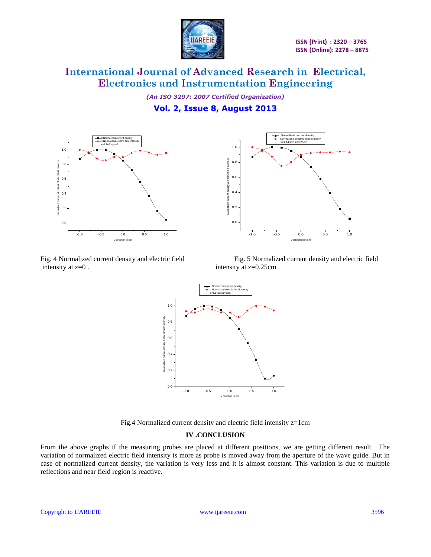

*(An ISO 3297: 2007 Certified Organization)* **Vol. 2, Issue 8, August 2013**





intensity at  $z=0$ . intensity at  $z=0.25$ cm

Fig. 4 Normalized current density and electric field Fig. 5 Normalized current density and electric field



Fig.4 Normalized current density and electric field intensity z=1cm

### **IV .CONCLUSION**

From the above graphs if the measuring probes are placed at different positions, we are getting different result. The variation of normalized electric field intensity is more as probe is moved away from the aperture of the wave guide. But in case of normalized current density, the variation is very less and it is almost constant. This variation is due to multiple reflections and near field region is reactive.